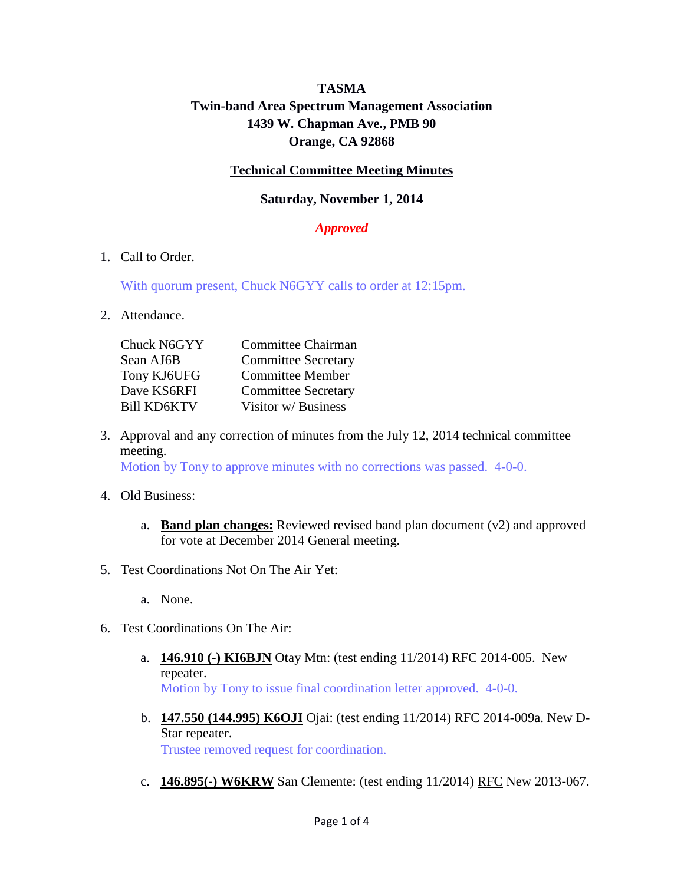# **TASMA Twin-band Area Spectrum Management Association 1439 W. Chapman Ave., PMB 90 Orange, CA 92868**

### **Technical Committee Meeting Minutes**

#### **Saturday, November 1, 2014**

## *Approved*

1. Call to Order.

With quorum present, Chuck N6GYY calls to order at 12:15pm.

2. Attendance.

| <b>Committee Chairman</b>  |
|----------------------------|
| <b>Committee Secretary</b> |
| <b>Committee Member</b>    |
| <b>Committee Secretary</b> |
| Visitor w/ Business        |
|                            |

- 3. Approval and any correction of minutes from the July 12, 2014 technical committee meeting. Motion by Tony to approve minutes with no corrections was passed. 4-0-0.
- 4. Old Business:
	- a. **Band plan changes:** Reviewed revised band plan document (v2) and approved for vote at December 2014 General meeting.
- 5. Test Coordinations Not On The Air Yet:
	- a. None.
- 6. Test Coordinations On The Air:
	- a. **146.910 (-) KI6BJN** Otay Mtn: (test ending 11/2014) RFC 2014-005. New repeater. Motion by Tony to issue final coordination letter approved. 4-0-0.
	- b. **147.550 (144.995) K6OJI** Ojai: (test ending 11/2014) RFC 2014-009a. New D-Star repeater. Trustee removed request for coordination.
	- c. **146.895(-) W6KRW** San Clemente: (test ending 11/2014) RFC New 2013-067.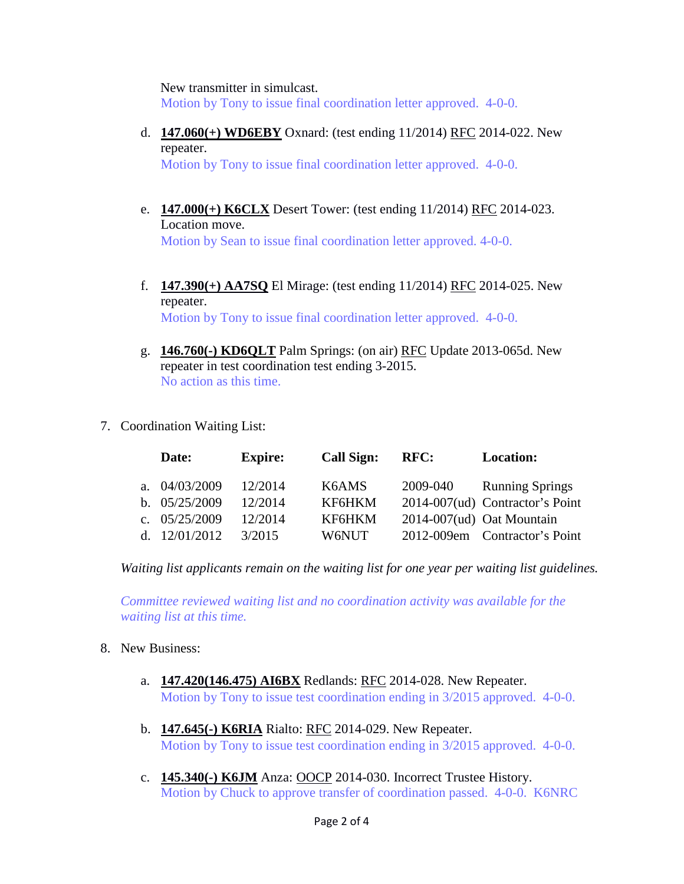New transmitter in simulcast.

Motion by Tony to issue final coordination letter approved. 4-0-0.

d. **147.060(+) WD6EBY** Oxnard: (test ending 11/2014) RFC 2014-022. New repeater.

Motion by Tony to issue final coordination letter approved. 4-0-0.

- e. **147.000(+) K6CLX** Desert Tower: (test ending 11/2014) RFC 2014-023. Location move. Motion by Sean to issue final coordination letter approved. 4-0-0.
- f. **147.390(+) AA7SQ** El Mirage: (test ending 11/2014) RFC 2014-025. New repeater. Motion by Tony to issue final coordination letter approved. 4-0-0.
- g. **146.760(-) KD6QLT** Palm Springs: (on air) RFC Update 2013-065d. New repeater in test coordination test ending 3-2015. No action as this time.
- 7. Coordination Waiting List:

|     | Date:           | <b>Expire:</b> | <b>Call Sign:</b> | RFC:     | <b>Location:</b>                |
|-----|-----------------|----------------|-------------------|----------|---------------------------------|
|     | a. $04/03/2009$ | 12/2014        | K6AMS             | 2009-040 | <b>Running Springs</b>          |
|     | b. $05/25/2009$ | 12/2014        | KF6HKM            |          | 2014-007(ud) Contractor's Point |
|     | c. $05/25/2009$ | 12/2014        | KF6HKM            |          | $2014-007(ud)$ Oat Mountain     |
| d – | 12/01/2012      | 3/2015         | W6NUT)            |          | 2012-009em Contractor's Point   |

*Waiting list applicants remain on the waiting list for one year per waiting list guidelines.*

*Committee reviewed waiting list and no coordination activity was available for the waiting list at this time.*

- 8. New Business:
	- a. **147.420(146.475) AI6BX** Redlands: RFC 2014-028. New Repeater. Motion by Tony to issue test coordination ending in 3/2015 approved. 4-0-0.
	- b. **147.645(-) K6RIA** Rialto: RFC 2014-029. New Repeater. Motion by Tony to issue test coordination ending in 3/2015 approved. 4-0-0.
	- c. **145.340(-) K6JM** Anza: OOCP 2014-030. Incorrect Trustee History. Motion by Chuck to approve transfer of coordination passed. 4-0-0. K6NRC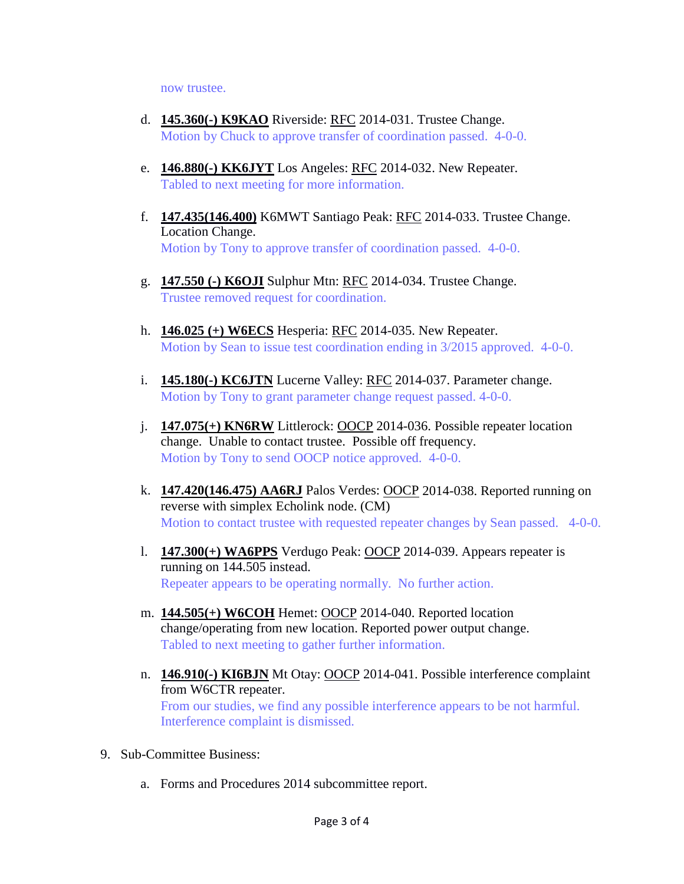now trustee.

- d. **145.360(-) K9KAO** Riverside: RFC 2014-031. Trustee Change. Motion by Chuck to approve transfer of coordination passed. 4-0-0.
- e. **146.880(-) KK6JYT** Los Angeles: RFC 2014-032. New Repeater. Tabled to next meeting for more information.
- f. **147.435(146.400)** K6MWT Santiago Peak: RFC 2014-033. Trustee Change. Location Change. Motion by Tony to approve transfer of coordination passed. 4-0-0.
- g. **147.550 (-) K6OJI** Sulphur Mtn: RFC 2014-034. Trustee Change. Trustee removed request for coordination.
- h. **146.025 (+) W6ECS** Hesperia: RFC 2014-035. New Repeater. Motion by Sean to issue test coordination ending in 3/2015 approved. 4-0-0.
- i. **145.180(-) KC6JTN** Lucerne Valley: RFC 2014-037. Parameter change. Motion by Tony to grant parameter change request passed. 4-0-0.
- j. **147.075(+) KN6RW** Littlerock: OOCP 2014-036. Possible repeater location change. Unable to contact trustee. Possible off frequency. Motion by Tony to send OOCP notice approved. 4-0-0.
- k. **147.420(146.475) AA6RJ** Palos Verdes: OOCP 2014-038. Reported running on reverse with simplex Echolink node. (CM) Motion to contact trustee with requested repeater changes by Sean passed. 4-0-0.
- l. **147.300(+) WA6PPS** Verdugo Peak: OOCP 2014-039. Appears repeater is running on 144.505 instead. Repeater appears to be operating normally. No further action.
- m. **144.505(+) W6COH** Hemet: OOCP 2014-040. Reported location change/operating from new location. Reported power output change. Tabled to next meeting to gather further information.
- n. **146.910(-) KI6BJN** Mt Otay: OOCP 2014-041. Possible interference complaint from W6CTR repeater. From our studies, we find any possible interference appears to be not harmful. Interference complaint is dismissed.
- 9. Sub-Committee Business:
	- a. Forms and Procedures 2014 subcommittee report.